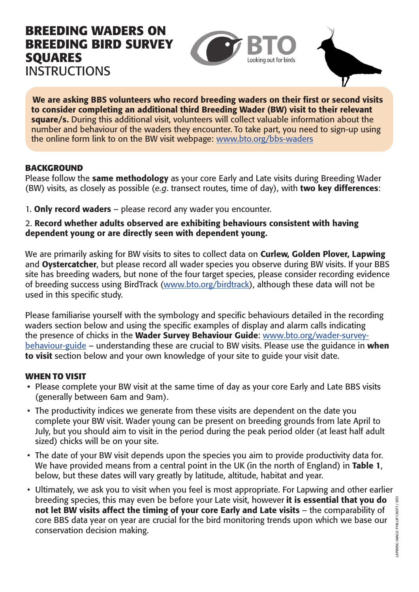# **BREEDING WADERS ON BREEDING BIRD SURVEY SQUARES INSTRUCTIONS**



We are asking BBS volunteers who record breeding waders on their first or second visits to consider completing an additional third Breeding Wader (BW) visit to their relevant square/s. During this additional visit, volunteers will collect valuable information about the number and behaviour of the waders they encounter. To take part, you need to sign-up using the online form link to on the BW visit webpage: www.bto.org/bbs-waders

## **BACKGROUND**

Please follow the same methodology as your core Early and Late visits during Breeding Wader (BW) visits, as closely as possible (*e.g*. transect routes, time of day), with two key differences:

1. Only record waders – please record any wader you encounter.

#### 2. Record whether adults observed are exhibiting behaviours consistent with having dependent young or are directly seen with dependent young.

We are primarily asking for BW visits to sites to collect data on Curlew, Golden Plover, Lapwing and Oystercatcher, but please record all wader species you observe during BW visits. If your BBS site has breeding waders, but none of the four target species, please consider recording evidence of breeding success using BirdTrack (www.bto.org/birdtrack), although these data will not be used in this specific study.

Please familiarise yourself with the symbology and specific behaviours detailed in the recording waders section below and using the specific examples of display and alarm calls indicating the presence of chicks in the Wader Survey Behaviour Guide: www.bto.org/wader-surveybehaviour-guide – understanding these are crucial to BW visits. Please use the guidance in when to visit section below and your own knowledge of your site to guide your visit date.

# **WHEN TO VISIT**

- Please complete your BW visit at the same time of day as your core Early and Late BBS visits (generally between 6am and 9am).
- The productivity indices we generate from these visits are dependent on the date you complete your BW visit. Wader young can be present on breeding grounds from late April to July, but you should aim to visit in the period during the peak period older (at least half adult sized) chicks will be on your site.
- The date of your BW visit depends upon the species you aim to provide productivity data for. We have provided means from a central point in the UK (in the north of England) in Table 1, below, but these dates will vary greatly by latitude, altitude, habitat and year.
- Ultimately, we ask you to visit when you feel is most appropriate. For Lapwing and other earlier breeding species, this may even be before your Late visit, however it is essential that you do not let BW visits affect the timing of your core Early and Late visits – the comparability of core BBS data year on year are crucial for the bird monitoring trends upon which we base our conservation decision making.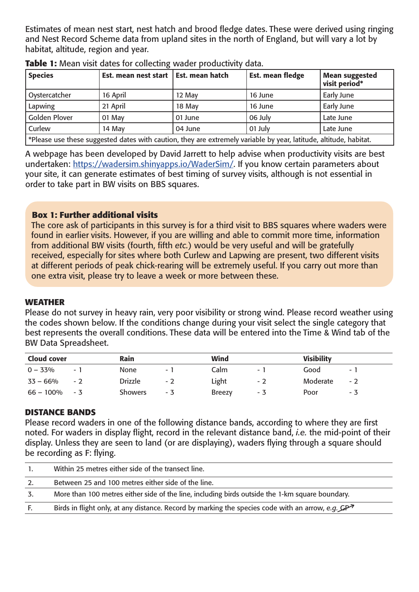Estimates of mean nest start, nest hatch and brood fledge dates. These were derived using ringing and Nest Record Scheme data from upland sites in the north of England, but will vary a lot by habitat, altitude, region and year.

| <b>Species</b>                                                                                                    | Est. mean nest start   Est. mean hatch |         | Est. mean fledge | <b>Mean suggested</b><br>visit period* |  |
|-------------------------------------------------------------------------------------------------------------------|----------------------------------------|---------|------------------|----------------------------------------|--|
| Oystercatcher                                                                                                     | 16 April                               | 12 May  | 16 June          | Early June                             |  |
| Lapwing                                                                                                           | 21 April                               | 18 May  | 16 June          | Early June                             |  |
| <b>Golden Plover</b>                                                                                              | 01 May                                 | 01 June | 06 July          | Late June                              |  |
| Curlew                                                                                                            | 14 May                                 | 04 June | 01 July          | Late June                              |  |
| *Please use these suggested dates with caution, they are extremely variable by year, latitude, altitude, habitat. |                                        |         |                  |                                        |  |

**Table 1:** Mean visit dates for collecting wader productivity data.

A webpage has been developed by David Jarrett to help advise when productivity visits are best undertaken: https://wadersim.shinyapps.io/WaderSim/. If you know certain parameters about your site, it can generate estimates of best timing of survey visits, although is not essential in order to take part in BW visits on BBS squares.

## **Box 1: Further additional visits**

The core ask of participants in this survey is for a third visit to BBS squares where waders were found in earlier visits. However, if you are willing and able to commit more time, information from additional BW visits (fourth, fifth *etc.*) would be very useful and will be gratefully received, especially for sites where both Curlew and Lapwing are present, two different visits at different periods of peak chick-rearing will be extremely useful. If you carry out more than one extra visit, please try to leave a week or more between these.

#### **WEATHER**

Please do not survey in heavy rain, very poor visibility or strong wind. Please record weather using the codes shown below. If the conditions change during your visit select the single category that best represents the overall conditions. These data will be entered into the Time & Wind tab of the BW Data Spreadsheet.

| <b>Cloud cover</b> |      | Rain           |     | Wind          |        | <b>Visibility</b> |     |
|--------------------|------|----------------|-----|---------------|--------|-------------------|-----|
| $0 - 33\%$         | - 1  | None           | - 1 | Calm          | $\sim$ | Good              | $-$ |
| $33 - 66\%$        | $-2$ | <b>Drizzle</b> | - 2 | Light         | $-2$   | Moderate          | - 2 |
| 66 – 100%          | $-3$ | <b>Showers</b> | - 3 | <b>Breezy</b> | - 3    | Poor              | - 3 |

#### **DISTANCE BANDS**

Please record waders in one of the following distance bands, according to where they are first noted. For waders in display flight, record in the relevant distance band, *i.e.* the mid-point of their display. Unless they are seen to land (or are displaying), waders flying through a square should be recording as F: flying.

|    | Within 25 metres either side of the transect line.                                                           |
|----|--------------------------------------------------------------------------------------------------------------|
|    | Between 25 and 100 metres either side of the line.                                                           |
| 3. | More than 100 metres either side of the line, including birds outside the 1-km square boundary.              |
|    | Birds in flight only, at any distance. Record by marking the species code with an arrow, e.g. $\mathcal{GP}$ |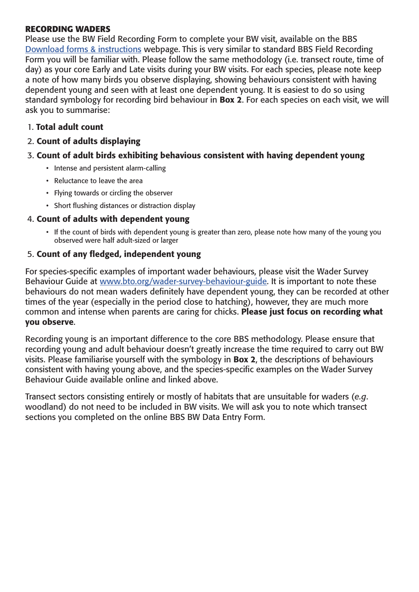## **RECORDING WADERS**

Please use the BW Field Recording Form to complete your BW visit, available on the BBS Download forms & instructions webpage. This is very similar to standard BBS Field Recording Form you will be familiar with. Please follow the same methodology (i.e. transect route, time of day) as your core Early and Late visits during your BW visits. For each species, please note keep a note of how many birds you observe displaying, showing behaviours consistent with having dependent young and seen with at least one dependent young. It is easiest to do so using standard symbology for recording bird behaviour in **Box 2**. For each species on each visit, we will ask you to summarise:

# 1. Total adult count

# 2. Count of adults displaying

## 3. Count of adult birds exhibiting behavious consistent with having dependent young

- Intense and persistent alarm-calling
- Reluctance to leave the area
- Flying towards or circling the observer
- Short flushing distances or distraction display

## 4. Count of adults with dependent young

• If the count of birds with dependent young is greater than zero, please note how many of the young you observed were half adult-sized or larger

## 5. Count of any fledged, independent young

For species-specific examples of important wader behaviours, please visit the Wader Survey Behaviour Guide at www.bto.org/wader-survey-behaviour-guide. It is important to note these behaviours do not mean waders definitely have dependent young, they can be recorded at other times of the year (especially in the period close to hatching), however, they are much more common and intense when parents are caring for chicks. Please just focus on recording what you observe.

Recording young is an important difference to the core BBS methodology. Please ensure that recording young and adult behaviour doesn't greatly increase the time required to carry out BW visits. Please familiarise yourself with the symbology in Box 2, the descriptions of behaviours consistent with having young above, and the species-specific examples on the Wader Survey Behaviour Guide available online and linked above.

Transect sectors consisting entirely or mostly of habitats that are unsuitable for waders (*e.g*. woodland) do not need to be included in BW visits. We will ask you to note which transect sections you completed on the online BBS BW Data Entry Form.